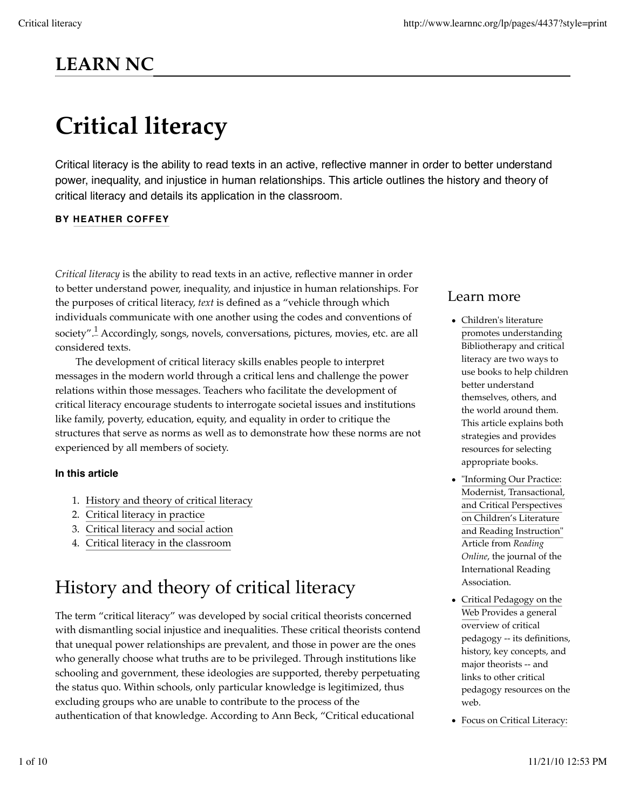# **LEARN NC**

# **Critical literacy**

Critical literacy is the ability to read texts in an active, reflective manner in order to better understand power, inequality, and injustice in human relationships. This article outlines the history and theory of critical literacy and details its application in the classroom.

#### **BY HEATHER COFFEY**

*Critical literacy* is the ability to read texts in an active, reflective manner in order to better understand power, inequality, and injustice in human relationships. For the purposes of critical literacy, *text* is defined as a "vehicle through which individuals communicate with one another using the codes and conventions of society".<sup>1</sup> Accordingly, songs, novels, conversations, pictures, movies, etc. are all considered texts.

The development of critical literacy skills enables people to interpret messages in the modern world through a critical lens and challenge the power relations within those messages. Teachers who facilitate the development of critical literacy encourage students to interrogate societal issues and institutions like family, poverty, education, equity, and equality in order to critique the structures that serve as norms as well as to demonstrate how these norms are not experienced by all members of society.

#### **In this article**

- 1. History and theory of critical literacy
- 2. Critical literacy in practice
- 3. Critical literacy and social action
- 4. Critical literacy in the classroom

### History and theory of critical literacy

The term "critical literacy" was developed by social critical theorists concerned with dismantling social injustice and inequalities. These critical theorists contend that unequal power relationships are prevalent, and those in power are the ones who generally choose what truths are to be privileged. Through institutions like schooling and government, these ideologies are supported, thereby perpetuating the status quo. Within schools, only particular knowledge is legitimized, thus excluding groups who are unable to contribute to the process of the authentication of that knowledge. According to Ann Beck, "Critical educational

### Learn more

- Children's literature promotes understanding Bibliotherapy and critical literacy are two ways to use books to help children better understand themselves, others, and the world around them. This article explains both strategies and provides resources for selecting appropriate books.
- "Informing Our Practice: Modernist, Transactional, and Critical Perspectives on Children's Literature and Reading Instruction" Article from *Reading Online*, the journal of the International Reading Association.
- Critical Pedagogy on the Web Provides a general overview of critical pedagogy -- its definitions, history, key concepts, and major theorists -- and links to other critical pedagogy resources on the web.
- Focus on Critical Literacy: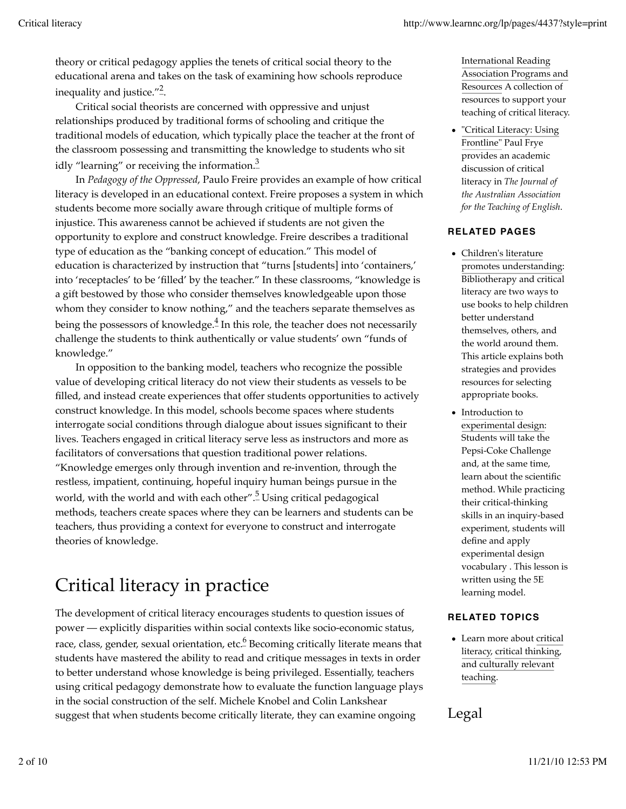theory or critical pedagogy applies the tenets of critical social theory to the educational arena and takes on the task of examining how schools reproduce inequality and justice." $\stackrel{2}{\text{-}}$ .

Critical social theorists are concerned with oppressive and unjust relationships produced by traditional forms of schooling and critique the traditional models of education, which typically place the teacher at the front of the classroom possessing and transmitting the knowledge to students who sit idly "learning" or receiving the information. $\frac{3}{2}$ 

In *Pedagogy of the Oppressed*, Paulo Freire provides an example of how critical literacy is developed in an educational context. Freire proposes a system in which students become more socially aware through critique of multiple forms of injustice. This awareness cannot be achieved if students are not given the opportunity to explore and construct knowledge. Freire describes a traditional type of education as the "banking concept of education." This model of education is characterized by instruction that "turns [students] into 'containers,' into 'receptacles' to be 'filled' by the teacher." In these classrooms, "knowledge is a gift bestowed by those who consider themselves knowledgeable upon those whom they consider to know nothing," and the teachers separate themselves as being the possessors of knowledge. $\frac{4}{7}$  In this role, the teacher does not necessarily challenge the students to think authentically or value students' own "funds of knowledge."

In opposition to the banking model, teachers who recognize the possible value of developing critical literacy do not view their students as vessels to be filled, and instead create experiences that offer students opportunities to actively construct knowledge. In this model, schools become spaces where students interrogate social conditions through dialogue about issues significant to their lives. Teachers engaged in critical literacy serve less as instructors and more as facilitators of conversations that question traditional power relations. "Knowledge emerges only through invention and re-invention, through the restless, impatient, continuing, hopeful inquiry human beings pursue in the world, with the world and with each other".<sup>5</sup> Using critical pedagogical methods, teachers create spaces where they can be learners and students can be teachers, thus providing a context for everyone to construct and interrogate theories of knowledge.

### Critical literacy in practice

The development of critical literacy encourages students to question issues of power — explicitly disparities within social contexts like socio-economic status, race, class, gender, sexual orientation, etc. $\stackrel{6}{\phantom{6}}$  Becoming critically literate means that students have mastered the ability to read and critique messages in texts in order to better understand whose knowledge is being privileged. Essentially, teachers using critical pedagogy demonstrate how to evaluate the function language plays in the social construction of the self. Michele Knobel and Colin Lankshear suggest that when students become critically literate, they can examine ongoing

International Reading Association Programs and Resources A collection of resources to support your teaching of critical literacy.

"Critical Literacy: Using Frontline" Paul Frye provides an academic discussion of critical literacy in *The Journal of the Australian Association for the Teaching of English*.

#### **RELATED PAGES**

- Children's literature promotes understanding: Bibliotherapy and critical literacy are two ways to use books to help children better understand themselves, others, and the world around them. This article explains both strategies and provides resources for selecting appropriate books.
- Introduction to experimental design: Students will take the Pepsi-Coke Challenge and, at the same time, learn about the scientific method. While practicing their critical-thinking skills in an inquiry-based experiment, students will define and apply experimental design vocabulary . This lesson is written using the 5E learning model.

#### **RELATED TOPICS**

Learn more about critical literacy, critical thinking, and culturally relevant teaching.

### Legal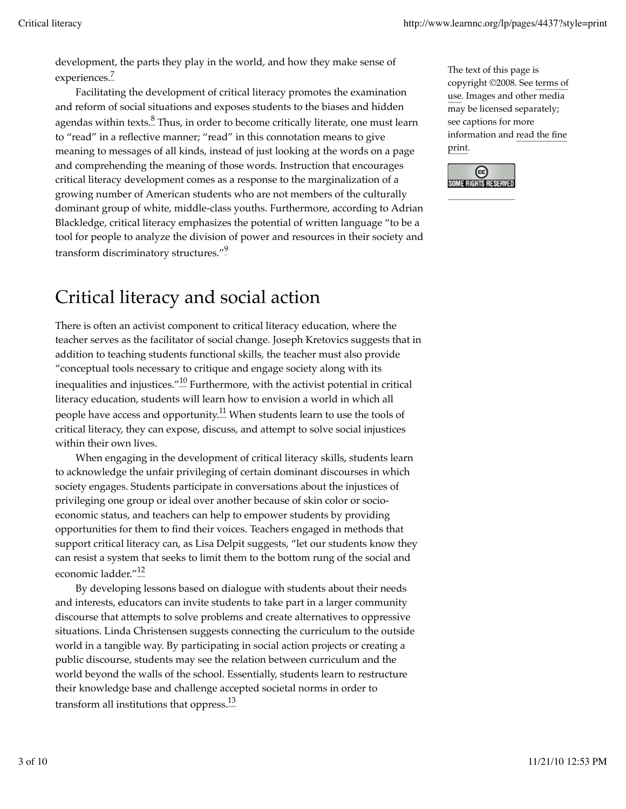development, the parts they play in the world, and how they make sense of experiences.<sup>7</sup>

Facilitating the development of critical literacy promotes the examination and reform of social situations and exposes students to the biases and hidden agendas within texts. $\frac{8}{5}$ Thus, in order to become critically literate, one must learn to "read" in a reflective manner; "read" in this connotation means to give meaning to messages of all kinds, instead of just looking at the words on a page and comprehending the meaning of those words. Instruction that encourages critical literacy development comes as a response to the marginalization of a growing number of American students who are not members of the culturally dominant group of white, middle-class youths. Furthermore, according to Adrian Blackledge, critical literacy emphasizes the potential of written language "to be a tool for people to analyze the division of power and resources in their society and transform discriminatory structures."<sup>9</sup>

### Critical literacy and social action

There is often an activist component to critical literacy education, where the teacher serves as the facilitator of social change. Joseph Kretovics suggests that in addition to teaching students functional skills, the teacher must also provide "conceptual tools necessary to critique and engage society along with its inequalities and injustices." $\frac{10}{10}$  Furthermore, with the activist potential in critical literacy education, students will learn how to envision a world in which all people have access and opportunity.<sup>11</sup> When students learn to use the tools of critical literacy, they can expose, discuss, and attempt to solve social injustices within their own lives.

When engaging in the development of critical literacy skills, students learn to acknowledge the unfair privileging of certain dominant discourses in which society engages. Students participate in conversations about the injustices of privileging one group or ideal over another because of skin color or socioeconomic status, and teachers can help to empower students by providing opportunities for them to find their voices. Teachers engaged in methods that support critical literacy can, as Lisa Delpit suggests, "let our students know they can resist a system that seeks to limit them to the bottom rung of the social and economic ladder."<sup>12</sup>

By developing lessons based on dialogue with students about their needs and interests, educators can invite students to take part in a larger community discourse that attempts to solve problems and create alternatives to oppressive situations. Linda Christensen suggests connecting the curriculum to the outside world in a tangible way. By participating in social action projects or creating a public discourse, students may see the relation between curriculum and the world beyond the walls of the school. Essentially, students learn to restructure their knowledge base and challenge accepted societal norms in order to transform all institutions that oppress. $\frac{13}{1}$ 

The text of this page is copyright ©2008. See terms of use. Images and other media may be licensed separately; see captions for more information and read the fine print.

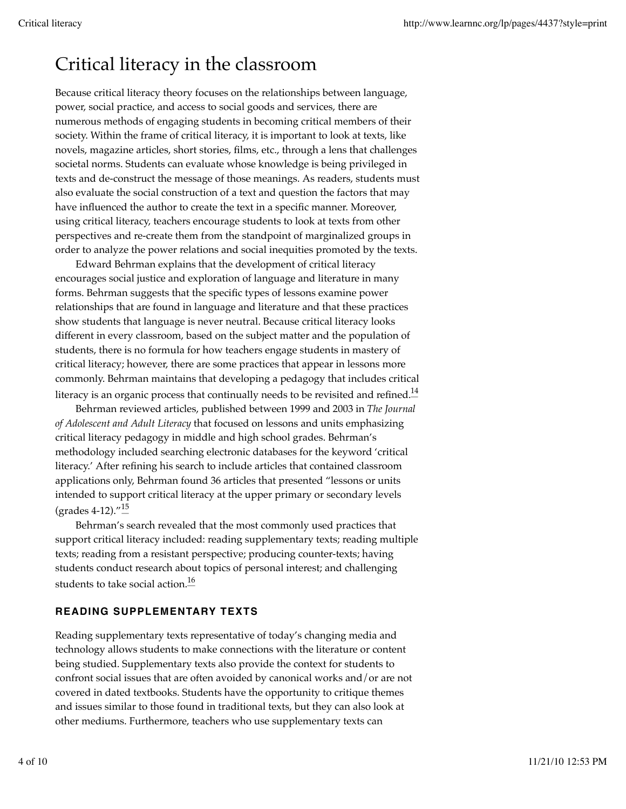# Critical literacy in the classroom

Because critical literacy theory focuses on the relationships between language, power, social practice, and access to social goods and services, there are numerous methods of engaging students in becoming critical members of their society. Within the frame of critical literacy, it is important to look at texts, like novels, magazine articles, short stories, films, etc., through a lens that challenges societal norms. Students can evaluate whose knowledge is being privileged in texts and de-construct the message of those meanings. As readers, students must also evaluate the social construction of a text and question the factors that may have influenced the author to create the text in a specific manner. Moreover, using critical literacy, teachers encourage students to look at texts from other perspectives and re-create them from the standpoint of marginalized groups in order to analyze the power relations and social inequities promoted by the texts.

Edward Behrman explains that the development of critical literacy encourages social justice and exploration of language and literature in many forms. Behrman suggests that the specific types of lessons examine power relationships that are found in language and literature and that these practices show students that language is never neutral. Because critical literacy looks different in every classroom, based on the subject matter and the population of students, there is no formula for how teachers engage students in mastery of critical literacy; however, there are some practices that appear in lessons more commonly. Behrman maintains that developing a pedagogy that includes critical literacy is an organic process that continually needs to be revisited and refined. $\frac{14}{15}$ 

Behrman reviewed articles, published between 1999 and 2003 in *The Journal of Adolescent and Adult Literacy* that focused on lessons and units emphasizing critical literacy pedagogy in middle and high school grades. Behrman's methodology included searching electronic databases for the keyword 'critical literacy.' After refining his search to include articles that contained classroom applications only, Behrman found 36 articles that presented "lessons or units intended to support critical literacy at the upper primary or secondary levels (grades  $4-12$ ). $\frac{15}{10}$ 

Behrman's search revealed that the most commonly used practices that support critical literacy included: reading supplementary texts; reading multiple texts; reading from a resistant perspective; producing counter-texts; having students conduct research about topics of personal interest; and challenging students to take social action. $\frac{16}{5}$ 

#### **READING SUPPLEMENTARY TEXTS**

Reading supplementary texts representative of today's changing media and technology allows students to make connections with the literature or content being studied. Supplementary texts also provide the context for students to confront social issues that are often avoided by canonical works and/or are not covered in dated textbooks. Students have the opportunity to critique themes and issues similar to those found in traditional texts, but they can also look at other mediums. Furthermore, teachers who use supplementary texts can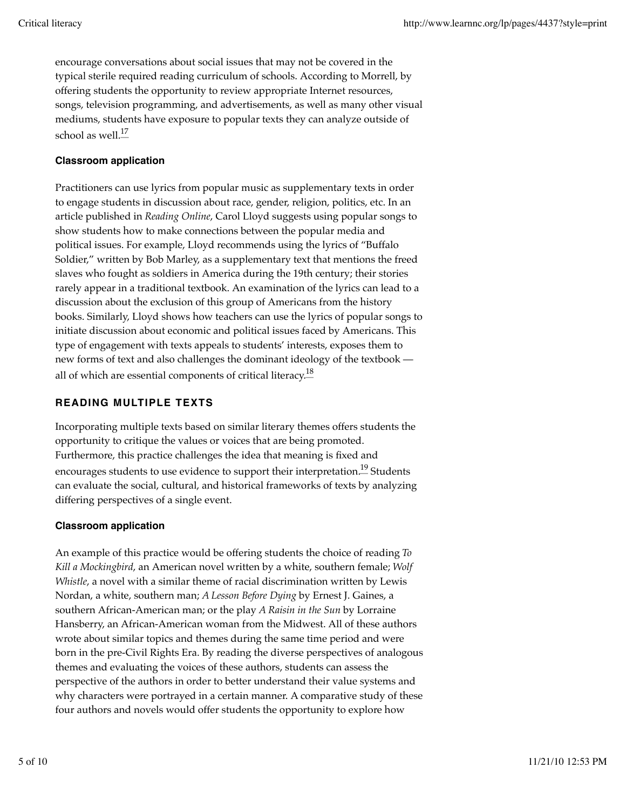encourage conversations about social issues that may not be covered in the typical sterile required reading curriculum of schools. According to Morrell, by offering students the opportunity to review appropriate Internet resources, songs, television programming, and advertisements, as well as many other visual mediums, students have exposure to popular texts they can analyze outside of school as well. $\frac{17}{10}$ 

#### **Classroom application**

Practitioners can use lyrics from popular music as supplementary texts in order to engage students in discussion about race, gender, religion, politics, etc. In an article published in *Reading Online*, Carol Lloyd suggests using popular songs to show students how to make connections between the popular media and political issues. For example, Lloyd recommends using the lyrics of "Buffalo Soldier," written by Bob Marley, as a supplementary text that mentions the freed slaves who fought as soldiers in America during the 19th century; their stories rarely appear in a traditional textbook. An examination of the lyrics can lead to a discussion about the exclusion of this group of Americans from the history books. Similarly, Lloyd shows how teachers can use the lyrics of popular songs to initiate discussion about economic and political issues faced by Americans. This type of engagement with texts appeals to students' interests, exposes them to new forms of text and also challenges the dominant ideology of the textbook all of which are essential components of critical literacy.<sup>18</sup>

#### **READING MULTIPLE TEXTS**

Incorporating multiple texts based on similar literary themes offers students the opportunity to critique the values or voices that are being promoted. Furthermore, this practice challenges the idea that meaning is fixed and encourages students to use evidence to support their interpretation.<sup>19</sup> Students can evaluate the social, cultural, and historical frameworks of texts by analyzing differing perspectives of a single event.

#### **Classroom application**

An example of this practice would be offering students the choice of reading *To Kill a Mockingbird*, an American novel written by a white, southern female; *Wolf Whistle*, a novel with a similar theme of racial discrimination written by Lewis Nordan, a white, southern man; *A Lesson Before Dying* by Ernest J. Gaines, a southern African-American man; or the play *A Raisin in the Sun* by Lorraine Hansberry, an African-American woman from the Midwest. All of these authors wrote about similar topics and themes during the same time period and were born in the pre-Civil Rights Era. By reading the diverse perspectives of analogous themes and evaluating the voices of these authors, students can assess the perspective of the authors in order to better understand their value systems and why characters were portrayed in a certain manner. A comparative study of these four authors and novels would offer students the opportunity to explore how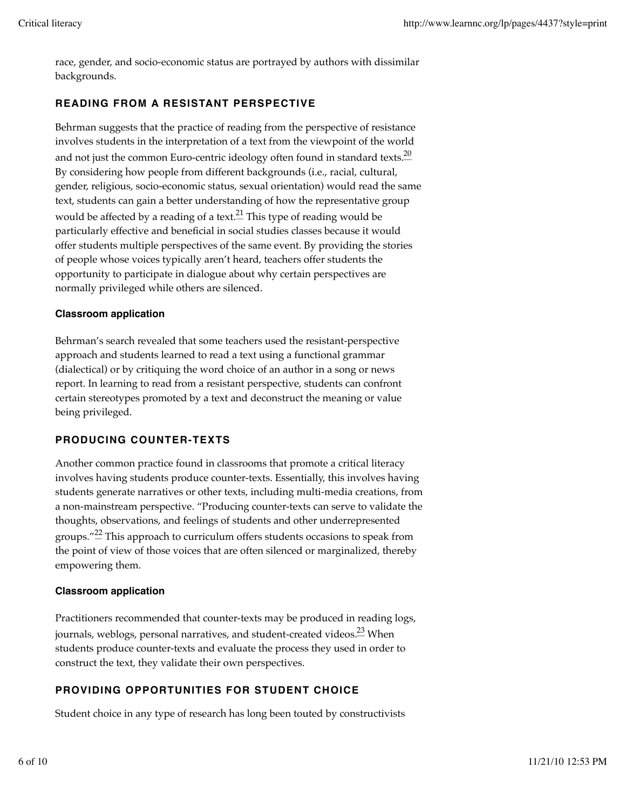race, gender, and socio-economic status are portrayed by authors with dissimilar backgrounds.

#### **READING FROM A RESISTANT PERSPECTIVE**

Behrman suggests that the practice of reading from the perspective of resistance involves students in the interpretation of a text from the viewpoint of the world and not just the common Euro-centric ideology often found in standard texts.<sup>20</sup> By considering how people from different backgrounds (i.e., racial, cultural, gender, religious, socio-economic status, sexual orientation) would read the same text, students can gain a better understanding of how the representative group would be affected by a reading of a text.<sup>21</sup> This type of reading would be particularly effective and beneficial in social studies classes because it would offer students multiple perspectives of the same event. By providing the stories of people whose voices typically aren't heard, teachers offer students the opportunity to participate in dialogue about why certain perspectives are normally privileged while others are silenced.

#### **Classroom application**

Behrman's search revealed that some teachers used the resistant-perspective approach and students learned to read a text using a functional grammar (dialectical) or by critiquing the word choice of an author in a song or news report. In learning to read from a resistant perspective, students can confront certain stereotypes promoted by a text and deconstruct the meaning or value being privileged.

#### **PRODUCING COUNTER-TEXTS**

Another common practice found in classrooms that promote a critical literacy involves having students produce counter-texts. Essentially, this involves having students generate narratives or other texts, including multi-media creations, from a non-mainstream perspective. "Producing counter-texts can serve to validate the thoughts, observations, and feelings of students and other underrepresented groups." $\stackrel{\text{22}}{=}$  This approach to curriculum offers students occasions to speak from the point of view of those voices that are often silenced or marginalized, thereby empowering them.

#### **Classroom application**

Practitioners recommended that counter-texts may be produced in reading logs, journals, weblogs, personal narratives, and student-created videos.<sup>23</sup> When students produce counter-texts and evaluate the process they used in order to construct the text, they validate their own perspectives.

#### **PROVIDING OPPORTUNITIES FOR STUDENT CHOICE**

Student choice in any type of research has long been touted by constructivists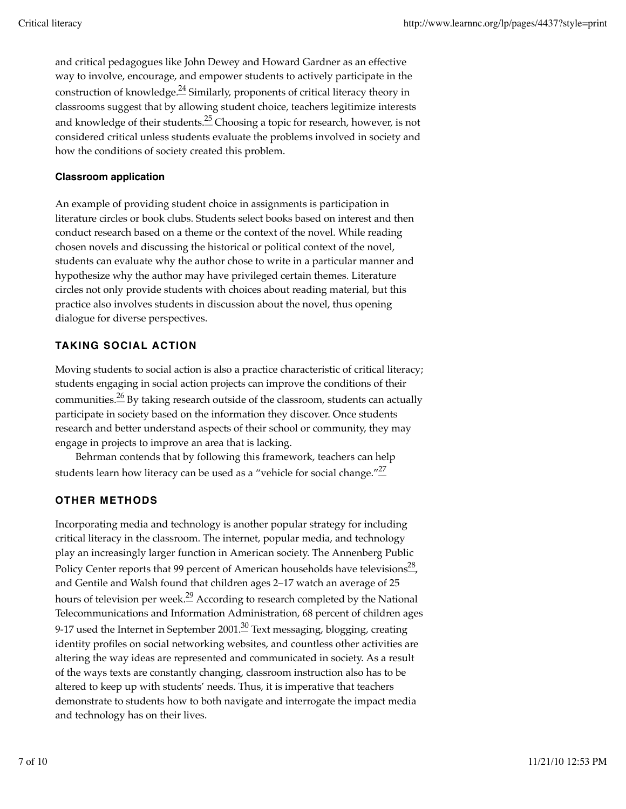and critical pedagogues like John Dewey and Howard Gardner as an effective way to involve, encourage, and empower students to actively participate in the construction of knowledge.<sup>24</sup> Similarly, proponents of critical literacy theory in classrooms suggest that by allowing student choice, teachers legitimize interests and knowledge of their students.<sup>25</sup> Choosing a topic for research, however, is not considered critical unless students evaluate the problems involved in society and how the conditions of society created this problem.

#### **Classroom application**

An example of providing student choice in assignments is participation in literature circles or book clubs. Students select books based on interest and then conduct research based on a theme or the context of the novel. While reading chosen novels and discussing the historical or political context of the novel, students can evaluate why the author chose to write in a particular manner and hypothesize why the author may have privileged certain themes. Literature circles not only provide students with choices about reading material, but this practice also involves students in discussion about the novel, thus opening dialogue for diverse perspectives.

#### **TAKING SOCIAL ACTION**

Moving students to social action is also a practice characteristic of critical literacy; students engaging in social action projects can improve the conditions of their communities. $\frac{26}{5}$  By taking research outside of the classroom, students can actually participate in society based on the information they discover. Once students research and better understand aspects of their school or community, they may engage in projects to improve an area that is lacking.

Behrman contends that by following this framework, teachers can help students learn how literacy can be used as a "vehicle for social change." $\frac{27}{2}$ 

#### **OTHER METHODS**

Incorporating media and technology is another popular strategy for including critical literacy in the classroom. The internet, popular media, and technology play an increasingly larger function in American society. The Annenberg Public Policy Center reports that 99 percent of American households have televisions<sup>28</sup>, and Gentile and Walsh found that children ages 2–17 watch an average of 25 hours of television per week.<sup>29</sup> According to research completed by the National Telecommunications and Information Administration, 68 percent of children ages 9-17 used the Internet in September 2001.<sup>30</sup> Text messaging, blogging, creating identity profiles on social networking websites, and countless other activities are altering the way ideas are represented and communicated in society. As a result of the ways texts are constantly changing, classroom instruction also has to be altered to keep up with students' needs. Thus, it is imperative that teachers demonstrate to students how to both navigate and interrogate the impact media and technology has on their lives.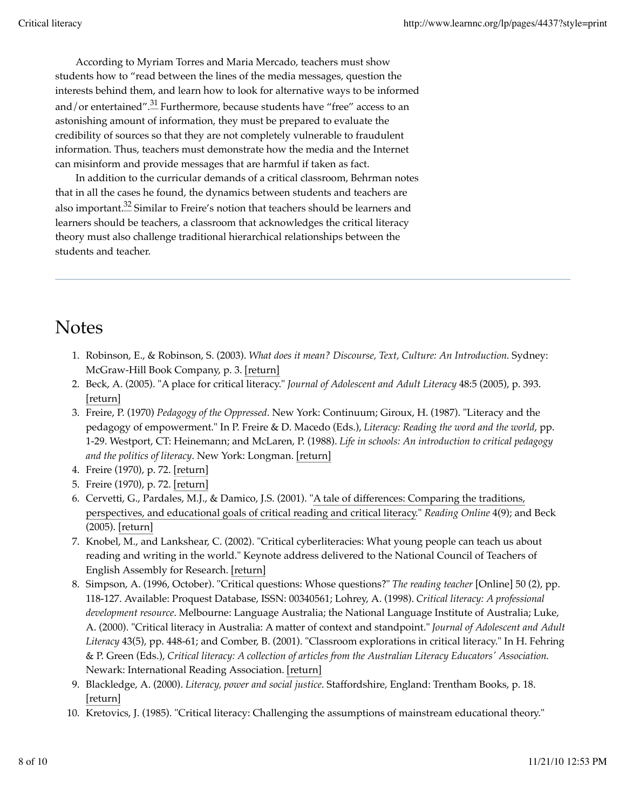According to Myriam Torres and Maria Mercado, teachers must show students how to "read between the lines of the media messages, question the interests behind them, and learn how to look for alternative ways to be informed and/or entertained".<sup>31</sup> Furthermore, because students have "free" access to an astonishing amount of information, they must be prepared to evaluate the credibility of sources so that they are not completely vulnerable to fraudulent information. Thus, teachers must demonstrate how the media and the Internet can misinform and provide messages that are harmful if taken as fact.

In addition to the curricular demands of a critical classroom, Behrman notes that in all the cases he found, the dynamics between students and teachers are also important.<sup>32</sup> Similar to Freire's notion that teachers should be learners and learners should be teachers, a classroom that acknowledges the critical literacy theory must also challenge traditional hierarchical relationships between the students and teacher.

### **Notes**

- Robinson, E., & Robinson, S. (2003). *What does it mean? Discourse, Text, Culture: An Introduction*. Sydney: 1. McGraw-Hill Book Company, p. 3. [return]
- Beck, A. (2005). "A place for critical literacy." *Journal of Adolescent and Adult Literacy* 48:5 (2005), p. 393. 2. [return]
- Freire, P. (1970) *Pedagogy of the Oppressed*. New York: Continuum; Giroux, H. (1987). "Literacy and the 3. pedagogy of empowerment." In P. Freire & D. Macedo (Eds.), *Literacy: Reading the word and the world*, pp. 1-29. Westport, CT: Heinemann; and McLaren, P. (1988). *Life in schools: An introduction to critical pedagogy and the politics of literacy*. New York: Longman. [return]
- 4. Freire (1970), p. 72. [return]
- 5. Freire (1970), p. 72. [return]
- 6. Cervetti, G., Pardales, M.J., & Damico, J.S. (2001). "A tale of differences: Comparing the traditions, perspectives, and educational goals of critical reading and critical literacy." *Reading Online* 4(9); and Beck (2005). [return]
- 7. Knobel, M., and Lankshear, C. (2002). "Critical cyberliteracies: What young people can teach us about reading and writing in the world." Keynote address delivered to the National Council of Teachers of English Assembly for Research. [return]
- Simpson, A. (1996, October). "Critical questions: Whose questions?" *The reading teacher* [Online] 50 (2), pp. 8. 118-127. Available: Proquest Database, ISSN: 00340561; Lohrey, A. (1998). *Critical literacy: A professional development resource*. Melbourne: Language Australia; the National Language Institute of Australia; Luke, A. (2000). "Critical literacy in Australia: A matter of context and standpoint." *Journal of Adolescent and Adult Literacy* 43(5), pp. 448-61; and Comber, B. (2001). "Classroom explorations in critical literacy." In H. Fehring & P. Green (Eds.), *Critical literacy: A collection of articles from the Australian Literacy Educators' Association*. Newark: International Reading Association. [return]
- Blackledge, A. (2000). *Literacy, power and social justice*. Staffordshire, England: Trentham Books, p. 18. 9. [return]
- 10. Kretovics, J. (1985). "Critical literacy: Challenging the assumptions of mainstream educational theory."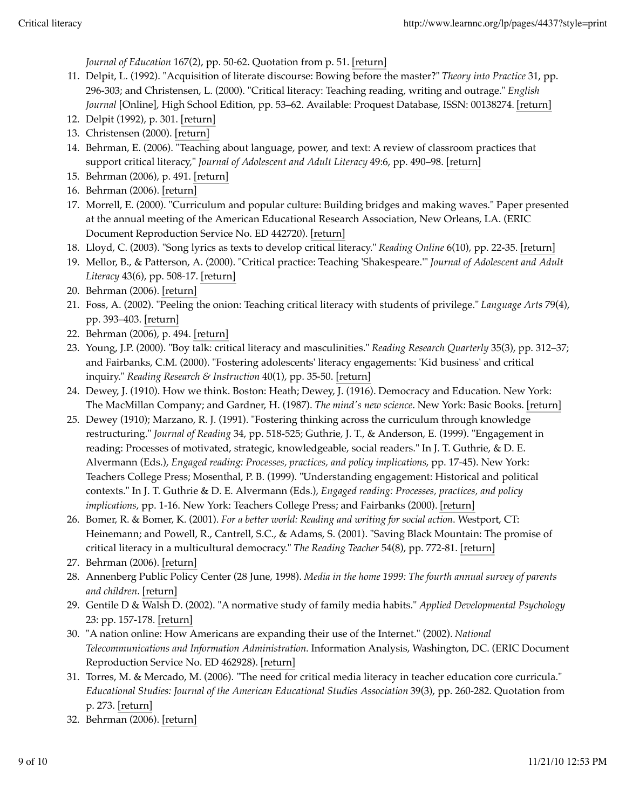*Journal of Education* 167(2), pp. 50-62. Quotation from p. 51. [return]

- 11. Delpit, L. (1992). "Acquisition of literate discourse: Bowing before the master?" *Theory into Practice* 31, pp. 296-303; and Christensen, L. (2000). "Critical literacy: Teaching reading, writing and outrage." *English Journal* [Online], High School Edition, pp. 53–62. Available: Proquest Database, ISSN: 00138274. [return]
- 12. Delpit (1992), p. 301. [return]
- 13. Christensen (2000). [return]
- 14. Behrman, E. (2006). "Teaching about language, power, and text: A review of classroom practices that support critical literacy," *Journal of Adolescent and Adult Literacy* 49:6, pp. 490–98. [return]
- 15. Behrman (2006), p. 491. [return]
- 16. Behrman (2006). [return]
- 17. Morrell, E. (2000). "Curriculum and popular culture: Building bridges and making waves." Paper presented at the annual meeting of the American Educational Research Association, New Orleans, LA. (ERIC Document Reproduction Service No. ED 442720). [return]
- 18. Lloyd, C. (2003). "Song lyrics as texts to develop critical literacy." *Reading Online* 6(10), pp. 22-35. [return]
- 19. Mellor, B., & Patterson, A. (2000). "Critical practice: Teaching 'Shakespeare."' *Journal of Adolescent and Adult Literacy* 43(6), pp. 508-17. [return]
- 20. Behrman (2006). [return]
- 21. Foss, A. (2002). "Peeling the onion: Teaching critical literacy with students of privilege." *Language Arts* 79(4), pp. 393–403. [return]
- 22. Behrman (2006), p. 494. [return]
- 23. Young, J.P. (2000). "Boy talk: critical literacy and masculinities." *Reading Research Quarterly* 35(3), pp. 312–37; and Fairbanks, C.M. (2000). "Fostering adolescents' literacy engagements: 'Kid business' and critical inquiry." *Reading Research & Instruction* 40(1), pp. 35-50. [return]
- 24. Dewey, J. (1910). How we think. Boston: Heath; Dewey, J. (1916). Democracy and Education. New York: The MacMillan Company; and Gardner, H. (1987). *The mind's new science*. New York: Basic Books. [return]
- 25. Dewey (1910); Marzano, R. J. (1991). "Fostering thinking across the curriculum through knowledge restructuring." *Journal of Reading* 34, pp. 518-525; Guthrie, J. T., & Anderson, E. (1999). "Engagement in reading: Processes of motivated, strategic, knowledgeable, social readers." In J. T. Guthrie, & D. E. Alvermann (Eds.), *Engaged reading: Processes, practices, and policy implications*, pp. 17-45). New York: Teachers College Press; Mosenthal, P. B. (1999). "Understanding engagement: Historical and political contexts." In J. T. Guthrie & D. E. Alvermann (Eds.), *Engaged reading: Processes, practices, and policy implications*, pp. 1-16. New York: Teachers College Press; and Fairbanks (2000). [return]
- Bomer, R. & Bomer, K. (2001). *For a better world: Reading and writing for social action*. Westport, CT: 26. Heinemann; and Powell, R., Cantrell, S.C., & Adams, S. (2001). "Saving Black Mountain: The promise of critical literacy in a multicultural democracy." *The Reading Teacher* 54(8), pp. 772-81. [return]
- 27. Behrman (2006). [return]
- Annenberg Public Policy Center (28 June, 1998). *Media in the home 1999: The fourth annual survey of parents* 28. *and children*. [return]
- Gentile D & Walsh D. (2002). "A normative study of family media habits." *Applied Developmental Psychology* 29. 23: pp. 157-178. [return]
- "A nation online: How Americans are expanding their use of the Internet." (2002). *National* 30. *Telecommunications and Information Administration*. Information Analysis, Washington, DC. (ERIC Document Reproduction Service No. ED 462928). [return]
- 31. Torres, M. & Mercado, M. (2006). "The need for critical media literacy in teacher education core curricula." *Educational Studies: Journal of the American Educational Studies Association* 39(3), pp. 260-282. Quotation from p. 273. [return]
- 32. Behrman (2006). [return]